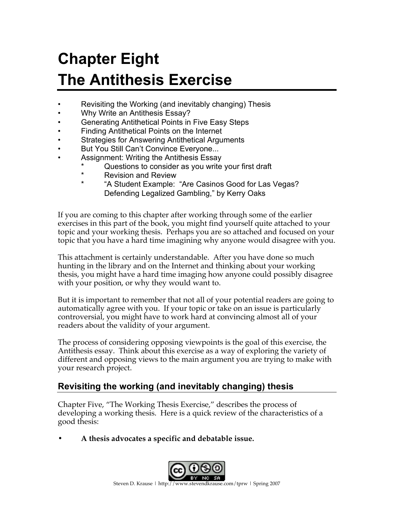# **Chapter Eight The Antithesis Exercise**

- Revisiting the Working (and inevitably changing) Thesis
- Why Write an Antithesis Essay?
- Generating Antithetical Points in Five Easy Steps
- Finding Antithetical Points on the Internet
- Strategies for Answering Antithetical Arguments
- But You Still Can't Convince Everyone...
- Assignment: Writing the Antithesis Essay
	- \* Questions to consider as you write your first draft<br>\* Pevision and Peview
	- \* Revision and Review<br>\* \* \* \* \* Ctudent Example:
	- \* "A Student Example: "Are Casinos Good for Las Vegas? Defending Legalized Gambling," by Kerry Oaks

If you are coming to this chapter after working through some of the earlier exercises in this part of the book, you might find yourself quite attached to your topic and your working thesis. Perhaps you are so attached and focused on your topic that you have a hard time imagining why anyone would disagree with you.

This attachment is certainly understandable. After you have done so much hunting in the library and on the Internet and thinking about your working thesis, you might have a hard time imaging how anyone could possibly disagree with your position, or why they would want to.

But it is important to remember that not all of your potential readers are going to automatically agree with you. If your topic or take on an issue is particularly controversial, you might have to work hard at convincing almost all of your readers about the validity of your argument.

The process of considering opposing viewpoints is the goal of this exercise, the Antithesis essay. Think about this exercise as a way of exploring the variety of different and opposing views to the main argument you are trying to make with your research project.

# **Revisiting the working (and inevitably changing) thesis**

Chapter Five, "The Working Thesis Exercise," describes the process of developing a working thesis. Here is a quick review of the characteristics of a good thesis:

**• A thesis advocates a specific and debatable issue.**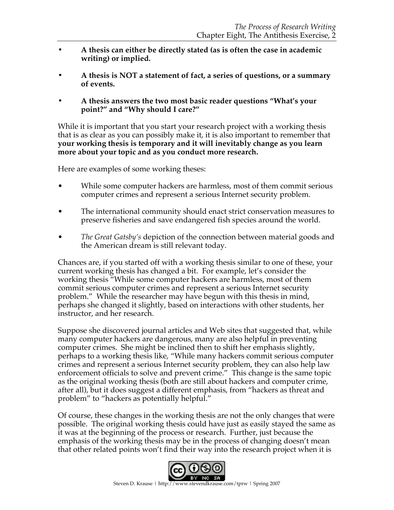- **• A thesis can either be directly stated (as is often the case in academic writing) or implied.**
- **• A thesis is NOT a statement of fact, a series of questions, or a summary of events.**
- **• A thesis answers the two most basic reader questions "What's your point?" and "Why should I care?"**

While it is important that you start your research project with a working thesis that is as clear as you can possibly make it, it is also important to remember that **your working thesis is temporary and it will inevitably change as you learn more about your topic and as you conduct more research.** 

Here are examples of some working theses:

- While some computer hackers are harmless, most of them commit serious computer crimes and represent a serious Internet security problem.
- The international community should enact strict conservation measures to preserve fisheries and save endangered fish species around the world.
- *The Great Gatsby's* depiction of the connection between material goods and the American dream is still relevant today.

Chances are, if you started off with a working thesis similar to one of these, your current working thesis has changed a bit. For example, let's consider the working thesis "While some computer hackers are harmless, most of them commit serious computer crimes and represent a serious Internet security problem." While the researcher may have begun with this thesis in mind, perhaps she changed it slightly, based on interactions with other students, her instructor, and her research.

Suppose she discovered journal articles and Web sites that suggested that, while many computer hackers are dangerous, many are also helpful in preventing computer crimes. She might be inclined then to shift her emphasis slightly, perhaps to a working thesis like, "While many hackers commit serious computer crimes and represent a serious Internet security problem, they can also help law enforcement officials to solve and prevent crime." This change is the same topic as the original working thesis (both are still about hackers and computer crime, after all), but it does suggest a different emphasis, from "hackers as threat and problem" to "hackers as potentially helpful."

Of course, these changes in the working thesis are not the only changes that were possible. The original working thesis could have just as easily stayed the same as it was at the beginning of the process or research. Further, just because the emphasis of the working thesis may be in the process of changing doesn't mean that other related points won't find their way into the research project when it is

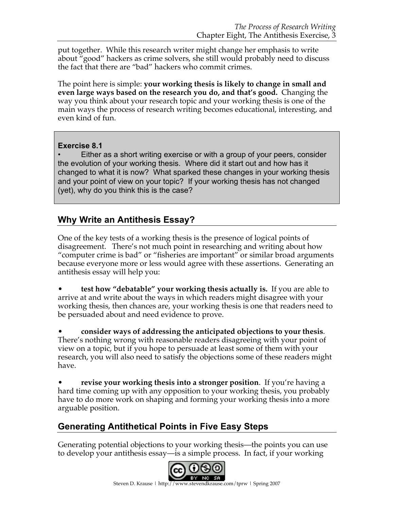put together. While this research writer might change her emphasis to write about "good" hackers as crime solvers, she still would probably need to discuss the fact that there are "bad" hackers who commit crimes.

The point here is simple: **your working thesis is likely to change in small and even large ways based on the research you do, and that's good.** Changing the way you think about your research topic and your working thesis is one of the main ways the process of research writing becomes educational, interesting, and even kind of fun.

#### **Exercise 8.1**

• Either as a short writing exercise or with a group of your peers, consider the evolution of your working thesis. Where did it start out and how has it changed to what it is now? What sparked these changes in your working thesis and your point of view on your topic? If your working thesis has not changed (yet), why do you think this is the case?

# **Why Write an Antithesis Essay?**

One of the key tests of a working thesis is the presence of logical points of disagreement. There's not much point in researching and writing about how "computer crime is bad" or "fisheries are important" or similar broad arguments because everyone more or less would agree with these assertions. Generating an antithesis essay will help you:

• **test how "debatable" your working thesis actually is.** If you are able to arrive at and write about the ways in which readers might disagree with your working thesis, then chances are, your working thesis is one that readers need to be persuaded about and need evidence to prove.

• **consider ways of addressing the anticipated objections to your thesis**. There's nothing wrong with reasonable readers disagreeing with your point of view on a topic, but if you hope to persuade at least some of them with your research, you will also need to satisfy the objections some of these readers might have.

• **revise your working thesis into a stronger position**. If you're having a hard time coming up with any opposition to your working thesis, you probably have to do more work on shaping and forming your working thesis into a more arguable position.

# **Generating Antithetical Points in Five Easy Steps**

Generating potential objections to your working thesis—the points you can use to develop your antithesis essay—is a simple process. In fact, if your working

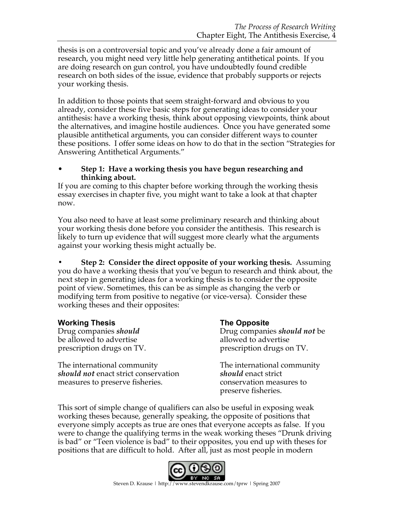thesis is on a controversial topic and you've already done a fair amount of research, you might need very little help generating antithetical points. If you are doing research on gun control, you have undoubtedly found credible research on both sides of the issue, evidence that probably supports or rejects your working thesis.

In addition to those points that seem straight-forward and obvious to you already, consider these five basic steps for generating ideas to consider your antithesis: have a working thesis, think about opposing viewpoints, think about the alternatives, and imagine hostile audiences. Once you have generated some plausible antithetical arguments, you can consider different ways to counter these positions. I offer some ideas on how to do that in the section "Strategies for Answering Antithetical Arguments."

#### • **Step 1: Have a working thesis you have begun researching and thinking about.**

If you are coming to this chapter before working through the working thesis essay exercises in chapter five, you might want to take a look at that chapter now.

You also need to have at least some preliminary research and thinking about your working thesis done before you consider the antithesis. This research is likely to turn up evidence that will suggest more clearly what the arguments against your working thesis might actually be.

**• Step 2: Consider the direct opposite of your working thesis.** Assuming you do have a working thesis that you've begun to research and think about, the next step in generating ideas for a working thesis is to consider the opposite point of view. Sometimes, this can be as simple as changing the verb or modifying term from positive to negative (or vice-versa). Consider these working theses and their opposites:

**Working Thesis**<br> **Drug companies** *should*<br> **Drug companies** *should* be allowed to advertise be allowed to advertise prescription drugs on TV. prescription drugs on TV.

The international community The international community *should not* enact strict conservation *should* enact strict measures to preserve fisheries. conservation measures to

Drug companies *should not* be

preserve fisheries.

This sort of simple change of qualifiers can also be useful in exposing weak working theses because, generally speaking, the opposite of positions that everyone simply accepts as true are ones that everyone accepts as false. If you were to change the qualifying terms in the weak working theses "Drunk driving is bad" or "Teen violence is bad" to their opposites, you end up with theses for positions that are difficult to hold. After all, just as most people in modern

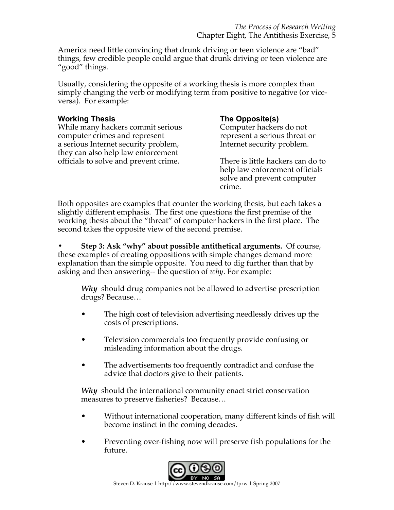America need little convincing that drunk driving or teen violence are "bad" things, few credible people could argue that drunk driving or teen violence are "good" things.

Usually, considering the opposite of a working thesis is more complex than simply changing the verb or modifying term from positive to negative (or viceversa). For example:

#### **Working Thesis The Opposite(s)**

While many hackers commit serious Computer hackers do not computer crimes and represent represent a serious threat or a serious Internet security problem, Internet security problem. they can also help law enforcement officials to solve and prevent crime. There is little hackers can do to

help law enforcement officials solve and prevent computer crime.

Both opposites are examples that counter the working thesis, but each takes a slightly different emphasis. The first one questions the first premise of the working thesis about the "threat" of computer hackers in the first place. The second takes the opposite view of the second premise.

**• Step 3: Ask "why" about possible antithetical arguments.** Of course, these examples of creating oppositions with simple changes demand more explanation than the simple opposite. You need to dig further than that by asking and then answering-- the question of *why*. For example:

*Why* should drug companies not be allowed to advertise prescription drugs? Because…

- The high cost of television advertising needlessly drives up the costs of prescriptions.
- Television commercials too frequently provide confusing or misleading information about the drugs.
- The advertisements too frequently contradict and confuse the advice that doctors give to their patients.

*Why* should the international community enact strict conservation measures to preserve fisheries? Because…

- Without international cooperation, many different kinds of fish will become instinct in the coming decades.
- Preventing over-fishing now will preserve fish populations for the future.

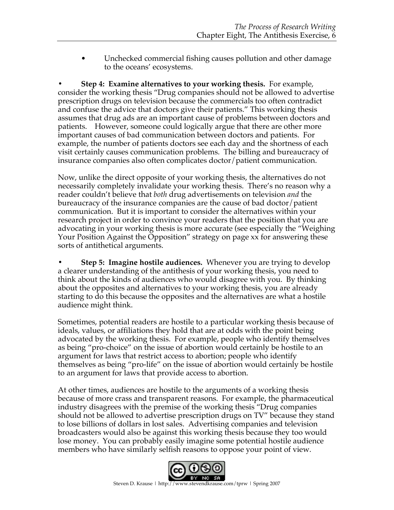Unchecked commercial fishing causes pollution and other damage to the oceans' ecosystems.

**• Step 4: Examine alternatives to your working thesis.**For example, consider the working thesis "Drug companies should not be allowed to advertise prescription drugs on television because the commercials too often contradict and confuse the advice that doctors give their patients." This working thesis assumes that drug ads are an important cause of problems between doctors and patients. However, someone could logically argue that there are other more important causes of bad communication between doctors and patients. For example, the number of patients doctors see each day and the shortness of each visit certainly causes communication problems. The billing and bureaucracy of insurance companies also often complicates doctor/patient communication.

Now, unlike the direct opposite of your working thesis, the alternatives do not necessarily completely invalidate your working thesis. There's no reason why a reader couldn't believe that *both* drug advertisements on television *and* the bureaucracy of the insurance companies are the cause of bad doctor/patient communication. But it is important to consider the alternatives within your research project in order to convince your readers that the position that you are advocating in your working thesis is more accurate (see especially the "Weighing Your Position Against the Opposition" strategy on page xx for answering these sorts of antithetical arguments.

**• Step 5: Imagine hostile audiences.** Whenever you are trying to develop a clearer understanding of the antithesis of your working thesis, you need to think about the kinds of audiences who would disagree with you. By thinking about the opposites and alternatives to your working thesis, you are already starting to do this because the opposites and the alternatives are what a hostile audience might think.

Sometimes, potential readers are hostile to a particular working thesis because of ideals, values, or affiliations they hold that are at odds with the point being advocated by the working thesis. For example, people who identify themselves as being "pro-choice" on the issue of abortion would certainly be hostile to an argument for laws that restrict access to abortion; people who identify themselves as being "pro-life" on the issue of abortion would certainly be hostile to an argument for laws that provide access to abortion.

At other times, audiences are hostile to the arguments of a working thesis because of more crass and transparent reasons. For example, the pharmaceutical industry disagrees with the premise of the working thesis "Drug companies should not be allowed to advertise prescription drugs on TV" because they stand to lose billions of dollars in lost sales. Advertising companies and television broadcasters would also be against this working thesis because they too would lose money. You can probably easily imagine some potential hostile audience members who have similarly selfish reasons to oppose your point of view.

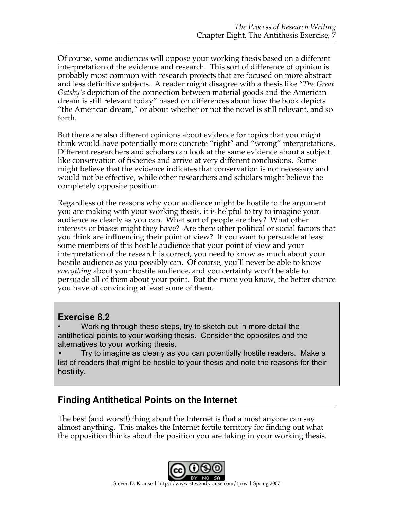Of course, some audiences will oppose your working thesis based on a different interpretation of the evidence and research. This sort of difference of opinion is probably most common with research projects that are focused on more abstract and less definitive subjects. A reader might disagree with a thesis like "*The Great Gatsby's* depiction of the connection between material goods and the American dream is still relevant today" based on differences about how the book depicts "the American dream," or about whether or not the novel is still relevant, and so forth.

But there are also different opinions about evidence for topics that you might think would have potentially more concrete "right" and "wrong" interpretations. Different researchers and scholars can look at the same evidence about a subject like conservation of fisheries and arrive at very different conclusions. Some might believe that the evidence indicates that conservation is not necessary and would not be effective, while other researchers and scholars might believe the completely opposite position.

Regardless of the reasons why your audience might be hostile to the argument you are making with your working thesis, it is helpful to try to imagine your audience as clearly as you can. What sort of people are they? What other interests or biases might they have? Are there other political or social factors that you think are influencing their point of view? If you want to persuade at least some members of this hostile audience that your point of view and your interpretation of the research is correct, you need to know as much about your hostile audience as you possibly can. Of course, you'll never be able to know *everything* about your hostile audience, and you certainly won't be able to persuade all of them about your point. But the more you know, the better chance you have of convincing at least some of them.

#### **Exercise 8.2**

• Working through these steps, try to sketch out in more detail the antithetical points to your working thesis. Consider the opposites and the alternatives to your working thesis.

• Try to imagine as clearly as you can potentially hostile readers. Make a list of readers that might be hostile to your thesis and note the reasons for their hostility.

# **Finding Antithetical Points on the Internet**

The best (and worst!) thing about the Internet is that almost anyone can say almost anything. This makes the Internet fertile territory for finding out what the opposition thinks about the position you are taking in your working thesis.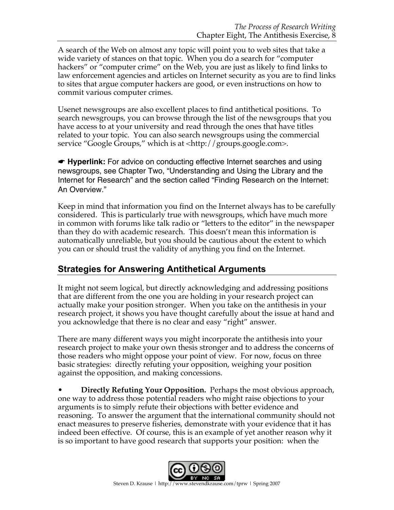A search of the Web on almost any topic will point you to web sites that take a wide variety of stances on that topic. When you do a search for "computer hackers" or "computer crime" on the Web, you are just as likely to find links to law enforcement agencies and articles on Internet security as you are to find links to sites that argue computer hackers are good, or even instructions on how to commit various computer crimes.

Usenet newsgroups are also excellent places to find antithetical positions. To search newsgroups, you can browse through the list of the newsgroups that you have access to at your university and read through the ones that have titles related to your topic. You can also search newsgroups using the commercial service "Google Groups," which is at <http://groups.google.com>.

**■ Hyperlink:** For advice on conducting effective Internet searches and using newsgroups, see Chapter Two, "Understanding and Using the Library and the Internet for Research" and the section called "Finding Research on the Internet: An Overview."

Keep in mind that information you find on the Internet always has to be carefully considered. This is particularly true with newsgroups, which have much more in common with forums like talk radio or "letters to the editor" in the newspaper than they do with academic research. This doesn't mean this information is automatically unreliable, but you should be cautious about the extent to which you can or should trust the validity of anything you find on the Internet.

# **Strategies for Answering Antithetical Arguments**

It might not seem logical, but directly acknowledging and addressing positions that are different from the one you are holding in your research project can actually make your position stronger. When you take on the antithesis in your research project, it shows you have thought carefully about the issue at hand and you acknowledge that there is no clear and easy "right" answer.

There are many different ways you might incorporate the antithesis into your research project to make your own thesis stronger and to address the concerns of those readers who might oppose your point of view. For now, focus on three basic strategies: directly refuting your opposition, weighing your position against the opposition, and making concessions.

• **Directly Refuting Your Opposition.** Perhaps the most obvious approach, one way to address those potential readers who might raise objections to your arguments is to simply refute their objections with better evidence and reasoning. To answer the argument that the international community should not enact measures to preserve fisheries, demonstrate with your evidence that it has indeed been effective. Of course, this is an example of yet another reason why it is so important to have good research that supports your position: when the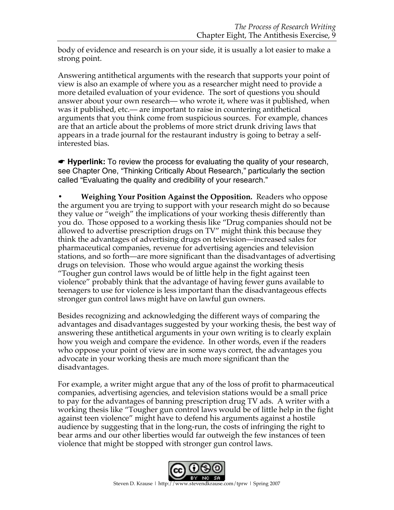body of evidence and research is on your side, it is usually a lot easier to make a strong point.

Answering antithetical arguments with the research that supports your point of view is also an example of where you as a researcher might need to provide a more detailed evaluation of your evidence. The sort of questions you should answer about your own research–– who wrote it, where was it published, when was it published, etc.— are important to raise in countering antithetical arguments that you think come from suspicious sources. For example, chances are that an article about the problems of more strict drunk driving laws that appears in a trade journal for the restaurant industry is going to betray a selfinterested bias.

☛ **Hyperlink:** To review the process for evaluating the quality of your research, see Chapter One, "Thinking Critically About Research," particularly the section called "Evaluating the quality and credibility of your research."

**• Weighing Your Position Against the Opposition.** Readers who oppose the argument you are trying to support with your research might do so because they value or "weigh" the implications of your working thesis differently than you do. Those opposed to a working thesis like "Drug companies should not be allowed to advertise prescription drugs on TV" might think this because they think the advantages of advertising drugs on television—increased sales for pharmaceutical companies, revenue for advertising agencies and television stations, and so forth—are more significant than the disadvantages of advertising drugs on television. Those who would argue against the working thesis "Tougher gun control laws would be of little help in the fight against teen violence" probably think that the advantage of having fewer guns available to teenagers to use for violence is less important than the disadvantageous effects stronger gun control laws might have on lawful gun owners.

Besides recognizing and acknowledging the different ways of comparing the advantages and disadvantages suggested by your working thesis, the best way of answering these antithetical arguments in your own writing is to clearly explain how you weigh and compare the evidence. In other words, even if the readers who oppose your point of view are in some ways correct, the advantages you advocate in your working thesis are much more significant than the disadvantages.

For example, a writer might argue that any of the loss of profit to pharmaceutical companies, advertising agencies, and television stations would be a small price to pay for the advantages of banning prescription drug TV ads. A writer with a working thesis like "Tougher gun control laws would be of little help in the fight against teen violence" might have to defend his arguments against a hostile audience by suggesting that in the long-run, the costs of infringing the right to bear arms and our other liberties would far outweigh the few instances of teen violence that might be stopped with stronger gun control laws.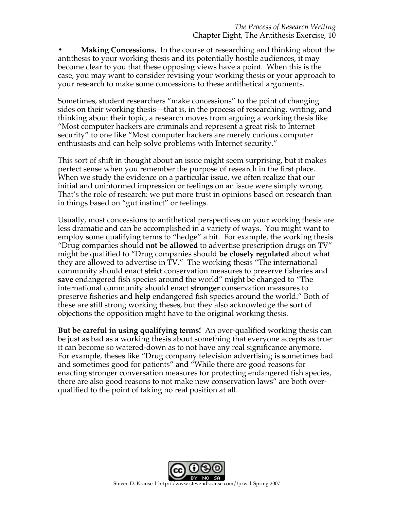**• Making Concessions.** In the course of researching and thinking about the antithesis to your working thesis and its potentially hostile audiences, it may become clear to you that these opposing views have a point. When this is the case, you may want to consider revising your working thesis or your approach to your research to make some concessions to these antithetical arguments.

Sometimes, student researchers "make concessions" to the point of changing sides on their working thesis—that is, in the process of researching, writing, and thinking about their topic, a research moves from arguing a working thesis like "Most computer hackers are criminals and represent a great risk to Internet security" to one like "Most computer hackers are merely curious computer enthusiasts and can help solve problems with Internet security."

This sort of shift in thought about an issue might seem surprising, but it makes perfect sense when you remember the purpose of research in the first place. When we study the evidence on a particular issue, we often realize that our initial and uninformed impression or feelings on an issue were simply wrong. That's the role of research: we put more trust in opinions based on research than in things based on "gut instinct" or feelings.

Usually, most concessions to antithetical perspectives on your working thesis are less dramatic and can be accomplished in a variety of ways. You might want to employ some qualifying terms to "hedge" a bit. For example, the working thesis "Drug companies should **not be allowed** to advertise prescription drugs on TV" might be qualified to "Drug companies should **be closely regulated** about what they are allowed to advertise in TV." The working thesis "The international community should enact **strict** conservation measures to preserve fisheries and **save** endangered fish species around the world" might be changed to "The international community should enact **stronger** conservation measures to preserve fisheries and **help** endangered fish species around the world." Both of these are still strong working theses, but they also acknowledge the sort of objections the opposition might have to the original working thesis.

**But be careful in using qualifying terms!** An over-qualified working thesis can be just as bad as a working thesis about something that everyone accepts as true: it can become so watered-down as to not have any real significance anymore. For example, theses like "Drug company television advertising is sometimes bad and sometimes good for patients" and "While there are good reasons for enacting stronger conversation measures for protecting endangered fish species, there are also good reasons to not make new conservation laws" are both overqualified to the point of taking no real position at all.

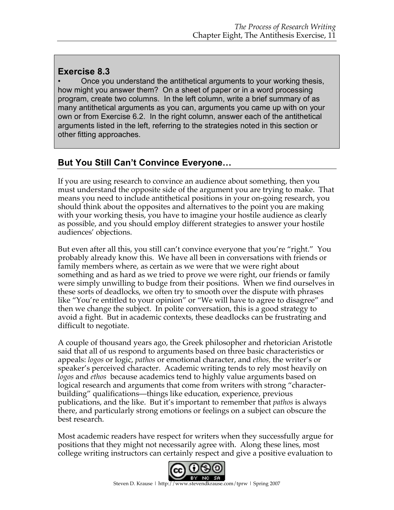#### **Exercise 8.3**

• Once you understand the antithetical arguments to your working thesis, how might you answer them? On a sheet of paper or in a word processing program, create two columns. In the left column, write a brief summary of as many antithetical arguments as you can, arguments you came up with on your own or from Exercise 6.2. In the right column, answer each of the antithetical arguments listed in the left, referring to the strategies noted in this section or other fitting approaches.

# **But You Still Can't Convince Everyone…**

If you are using research to convince an audience about something, then you must understand the opposite side of the argument you are trying to make. That means you need to include antithetical positions in your on-going research, you should think about the opposites and alternatives to the point you are making with your working thesis, you have to imagine your hostile audience as clearly as possible, and you should employ different strategies to answer your hostile audiences' objections.

But even after all this, you still can't convince everyone that you're "right." You probably already know this. We have all been in conversations with friends or family members where, as certain as we were that we were right about something and as hard as we tried to prove we were right, our friends or family were simply unwilling to budge from their positions. When we find ourselves in these sorts of deadlocks, we often try to smooth over the dispute with phrases like "You're entitled to your opinion" or "We will have to agree to disagree" and then we change the subject. In polite conversation, this is a good strategy to avoid a fight. But in academic contexts, these deadlocks can be frustrating and difficult to negotiate.

A couple of thousand years ago, the Greek philosopher and rhetorician Aristotle said that all of us respond to arguments based on three basic characteristics or appeals: *logos* or logic, *pathos* or emotional character, and *ethos,* the writer's or speaker's perceived character. Academic writing tends to rely most heavily on *logos* and *ethos* because academics tend to highly value arguments based on logical research and arguments that come from writers with strong "characterbuilding" qualifications—things like education, experience, previous publications, and the like. But it's important to remember that *pathos* is always there, and particularly strong emotions or feelings on a subject can obscure the best research.

Most academic readers have respect for writers when they successfully argue for positions that they might not necessarily agree with. Along these lines, most college writing instructors can certainly respect and give a positive evaluation to

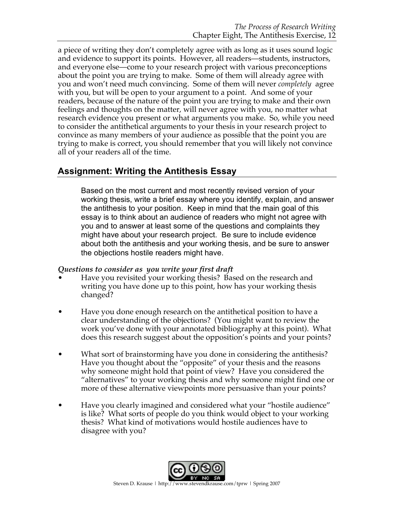a piece of writing they don't completely agree with as long as it uses sound logic and evidence to support its points. However, all readers—students, instructors, and everyone else—come to your research project with various preconceptions about the point you are trying to make. Some of them will already agree with you and won't need much convincing. Some of them will never *completely* agree with you, but will be open to your argument to a point. And some of your readers, because of the nature of the point you are trying to make and their own feelings and thoughts on the matter, will never agree with you, no matter what research evidence you present or what arguments you make. So, while you need to consider the antithetical arguments to your thesis in your research project to convince as many members of your audience as possible that the point you are trying to make is correct, you should remember that you will likely not convince all of your readers all of the time.

#### **Assignment: Writing the Antithesis Essay**

Based on the most current and most recently revised version of your working thesis, write a brief essay where you identify, explain, and answer the antithesis to your position. Keep in mind that the main goal of this essay is to think about an audience of readers who might not agree with you and to answer at least some of the questions and complaints they might have about your research project. Be sure to include evidence about both the antithesis and your working thesis, and be sure to answer the objections hostile readers might have.

#### *Questions to consider as you write your first draft*

- Have you revisited your working thesis? Based on the research and writing you have done up to this point, how has your working thesis changed?
- Have you done enough research on the antithetical position to have a clear understanding of the objections? (You might want to review the work you've done with your annotated bibliography at this point). What does this research suggest about the opposition's points and your points?
- What sort of brainstorming have you done in considering the antithesis? Have you thought about the "opposite" of your thesis and the reasons why someone might hold that point of view? Have you considered the "alternatives" to your working thesis and why someone might find one or more of these alternative viewpoints more persuasive than your points?
- Have you clearly imagined and considered what your "hostile audience" is like? What sorts of people do you think would object to your working thesis? What kind of motivations would hostile audiences have to disagree with you?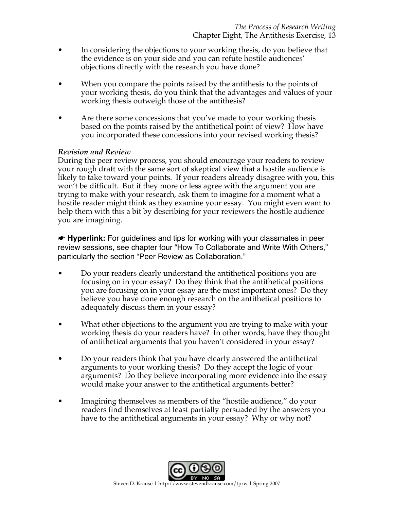- In considering the objections to your working thesis, do you believe that the evidence is on your side and you can refute hostile audiences' objections directly with the research you have done?
- When you compare the points raised by the antithesis to the points of your working thesis, do you think that the advantages and values of your working thesis outweigh those of the antithesis?
- Are there some concessions that you've made to your working thesis based on the points raised by the antithetical point of view? How have you incorporated these concessions into your revised working thesis?

#### *Revision and Review*

During the peer review process, you should encourage your readers to review your rough draft with the same sort of skeptical view that a hostile audience is likely to take toward your points. If your readers already disagree with you, this won't be difficult. But if they more or less agree with the argument you are trying to make with your research, ask them to imagine for a moment what a hostile reader might think as they examine your essay. You might even want to help them with this a bit by describing for your reviewers the hostile audience you are imagining.

☛ **Hyperlink:** For guidelines and tips for working with your classmates in peer review sessions, see chapter four "How To Collaborate and Write With Others," particularly the section "Peer Review as Collaboration."

- Do your readers clearly understand the antithetical positions you are focusing on in your essay? Do they think that the antithetical positions you are focusing on in your essay are the most important ones? Do they believe you have done enough research on the antithetical positions to adequately discuss them in your essay?
- What other objections to the argument you are trying to make with your working thesis do your readers have? In other words, have they thought of antithetical arguments that you haven't considered in your essay?
- Do your readers think that you have clearly answered the antithetical arguments to your working thesis? Do they accept the logic of your arguments? Do they believe incorporating more evidence into the essay would make your answer to the antithetical arguments better?
- Imagining themselves as members of the "hostile audience," do your readers find themselves at least partially persuaded by the answers you have to the antithetical arguments in your essay? Why or why not?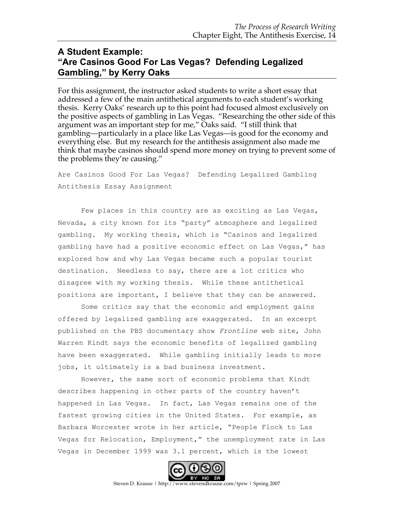# **A Student Example: "Are Casinos Good For Las Vegas? Defending Legalized Gambling," by Kerry Oaks**

For this assignment, the instructor asked students to write a short essay that addressed a few of the main antithetical arguments to each student's working thesis. Kerry Oaks' research up to this point had focused almost exclusively on the positive aspects of gambling in Las Vegas. "Researching the other side of this argument was an important step for me," Oaks said. "I still think that gambling—particularly in a place like Las Vegas—is good for the economy and everything else. But my research for the antithesis assignment also made me think that maybe casinos should spend more money on trying to prevent some of the problems they're causing."

Are Casinos Good For Las Vegas? Defending Legalized Gambling Antithesis Essay Assignment

Few places in this country are as exciting as Las Vegas, Nevada, a city known for its "party" atmosphere and legalized gambling. My working thesis, which is "Casinos and legalized gambling have had a positive economic effect on Las Vegas," has explored how and why Las Vegas became such a popular tourist destination. Needless to say, there are a lot critics who disagree with my working thesis. While these antithetical positions are important, I believe that they can be answered.

Some critics say that the economic and employment gains offered by legalized gambling are exaggerated. In an excerpt published on the PBS documentary show *Frontline* web site, John Warren Kindt says the economic benefits of legalized gambling have been exaggerated. While gambling initially leads to more jobs, it ultimately is a bad business investment.

However, the same sort of economic problems that Kindt describes happening in other parts of the country haven't happened in Las Vegas. In fact, Las Vegas remains one of the fastest growing cities in the United States. For example, as Barbara Worcester wrote in her article, "People Flock to Las Vegas for Relocation, Employment," the unemployment rate in Las Vegas in December 1999 was 3.1 percent, which is the lowest



Steven D. Krause | http://www.stevendkrause.com/tprw | Spring 2007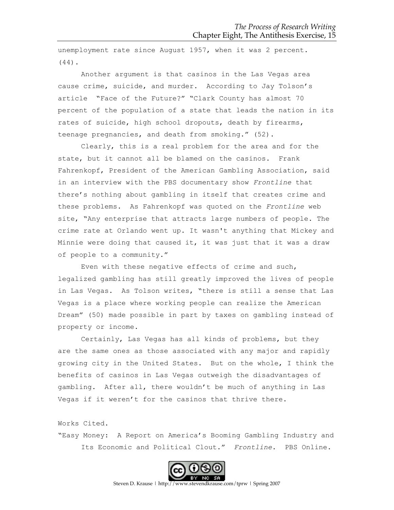unemployment rate since August 1957, when it was 2 percent. (44).

Another argument is that casinos in the Las Vegas area cause crime, suicide, and murder. According to Jay Tolson's article "Face of the Future?" "Clark County has almost 70 percent of the population of a state that leads the nation in its rates of suicide, high school dropouts, death by firearms, teenage pregnancies, and death from smoking." (52).

Clearly, this is a real problem for the area and for the state, but it cannot all be blamed on the casinos. Frank Fahrenkopf, President of the American Gambling Association, said in an interview with the PBS documentary show *Frontline* that there's nothing about gambling in itself that creates crime and these problems. As Fahrenkopf was quoted on the *Frontline* web site, "Any enterprise that attracts large numbers of people. The crime rate at Orlando went up. It wasn't anything that Mickey and Minnie were doing that caused it, it was just that it was a draw of people to a community."

Even with these negative effects of crime and such, legalized gambling has still greatly improved the lives of people in Las Vegas. As Tolson writes, "there is still a sense that Las Vegas is a place where working people can realize the American Dream" (50) made possible in part by taxes on gambling instead of property or income.

Certainly, Las Vegas has all kinds of problems, but they are the same ones as those associated with any major and rapidly growing city in the United States. But on the whole, I think the benefits of casinos in Las Vegas outweigh the disadvantages of gambling. After all, there wouldn't be much of anything in Las Vegas if it weren't for the casinos that thrive there.

Works Cited.

"Easy Money: A Report on America's Booming Gambling Industry and Its Economic and Political Clout." *Frontline*. PBS Online.



Steven D. Krause | http://www.stevendkrause.com/tprw | Spring 2007